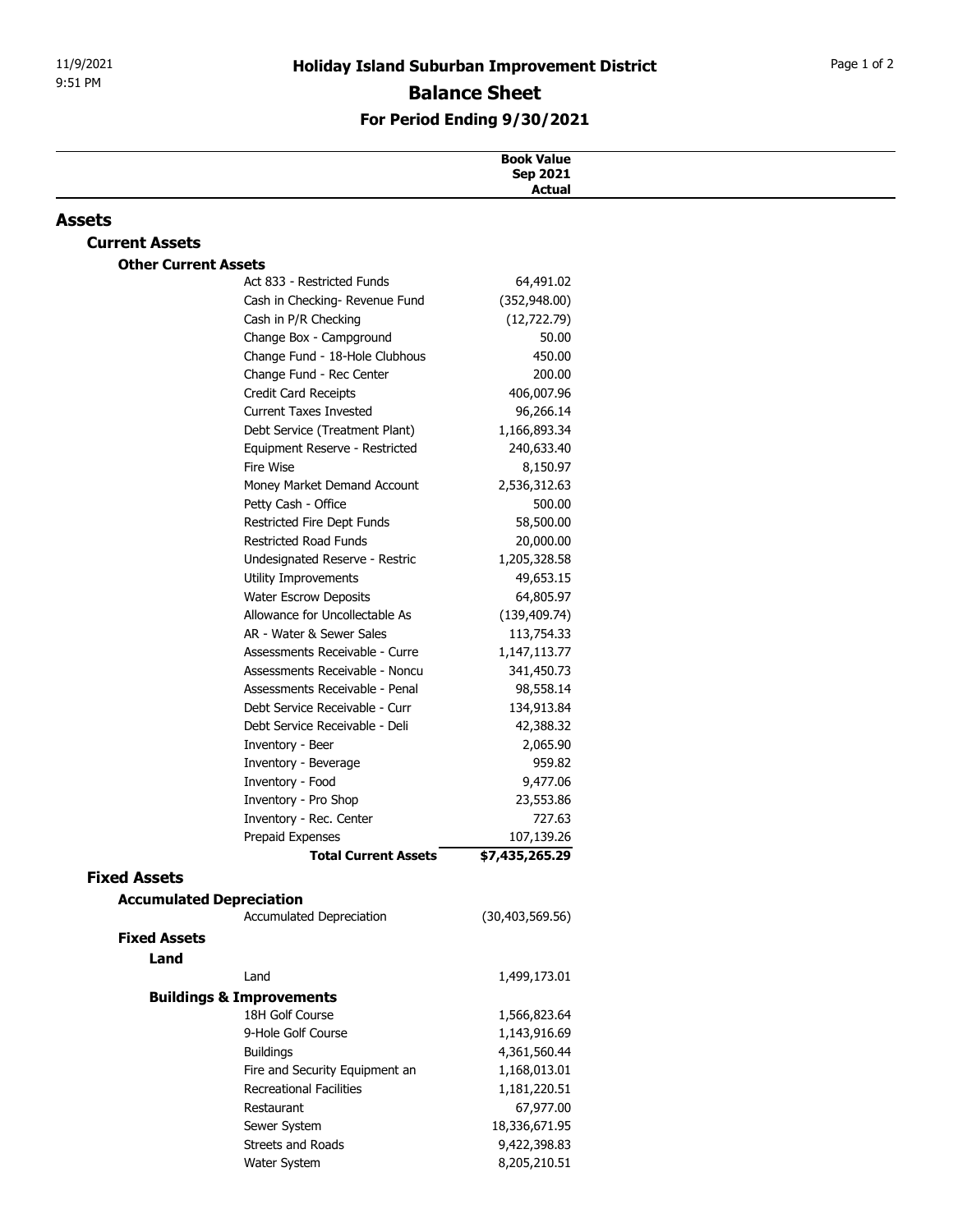## For Period Ending 9/30/2021

| 9:51 PM                     |                                                                  |                               |  |
|-----------------------------|------------------------------------------------------------------|-------------------------------|--|
|                             |                                                                  | <b>Balance Sheet</b>          |  |
|                             | For Period Ending 9/30/2021                                      |                               |  |
|                             |                                                                  |                               |  |
|                             |                                                                  | <b>Book Value</b><br>Sep 2021 |  |
|                             |                                                                  | Actual                        |  |
| Assets                      |                                                                  |                               |  |
| <b>Current Assets</b>       |                                                                  |                               |  |
| <b>Other Current Assets</b> | Act 833 - Restricted Funds                                       | 64,491.02                     |  |
|                             | Cash in Checking- Revenue Fund                                   | (352, 948.00)                 |  |
|                             | Cash in P/R Checking                                             | (12, 722.79)                  |  |
|                             | Change Box - Campground                                          | 50.00                         |  |
|                             | Change Fund - 18-Hole Clubhous                                   | 450.00                        |  |
|                             | Change Fund - Rec Center                                         | 200.00                        |  |
|                             | Credit Card Receipts                                             | 406,007.96                    |  |
|                             | <b>Current Taxes Invested</b>                                    | 96,266.14                     |  |
|                             | Debt Service (Treatment Plant)<br>Equipment Reserve - Restricted | 1,166,893.34<br>240,633.40    |  |
|                             | Fire Wise                                                        | 8,150.97                      |  |
|                             | Money Market Demand Account                                      | 2,536,312.63                  |  |
|                             | Petty Cash - Office                                              | 500.00                        |  |
|                             | Restricted Fire Dept Funds                                       | 58,500.00                     |  |
|                             | <b>Restricted Road Funds</b>                                     | 20,000.00                     |  |
|                             | Undesignated Reserve - Restric                                   | 1,205,328.58                  |  |
|                             | Utility Improvements                                             | 49,653.15                     |  |
|                             | <b>Water Escrow Deposits</b><br>Allowance for Uncollectable As   | 64,805.97<br>(139, 409.74)    |  |
|                             | AR - Water & Sewer Sales                                         | 113,754.33                    |  |
|                             | Assessments Receivable - Curre                                   | 1,147,113.77                  |  |
|                             | Assessments Receivable - Noncu                                   | 341,450.73                    |  |
|                             | Assessments Receivable - Penal                                   | 98,558.14                     |  |
|                             | Debt Service Receivable - Curr                                   | 134,913.84                    |  |
|                             | Debt Service Receivable - Deli                                   | 42,388.32                     |  |
|                             | Inventory - Beer<br>Inventory - Beverage                         | 2,065.90<br>959.82            |  |
|                             | Inventory - Food                                                 | 9,477.06                      |  |
|                             | Inventory - Pro Shop                                             | 23,553.86                     |  |
|                             | Inventory - Rec. Center                                          | 727.63                        |  |
|                             | Prepaid Expenses                                                 | 107,139.26                    |  |
|                             | <b>Total Current Assets</b>                                      | \$7,435,265.29                |  |
| <b>Fixed Assets</b>         |                                                                  |                               |  |
|                             | <b>Accumulated Depreciation</b><br>Accumulated Depreciation      | (30, 403, 569.56)             |  |
| <b>Fixed Assets</b>         |                                                                  |                               |  |
| Land                        |                                                                  |                               |  |
|                             | Land                                                             | 1,499,173.01                  |  |
|                             | <b>Buildings &amp; Improvements</b>                              |                               |  |
|                             | 18H Golf Course                                                  | 1,566,823.64                  |  |
|                             | 9-Hole Golf Course                                               | 1,143,916.69                  |  |
|                             | <b>Buildings</b>                                                 | 4,361,560.44                  |  |
|                             | Fire and Security Equipment an                                   | 1,168,013.01                  |  |
|                             | <b>Recreational Facilities</b>                                   | 1,181,220.51                  |  |
|                             | Restaurant                                                       | 67,977.00                     |  |
|                             | Sewer System<br>Streets and Roads                                | 18,336,671.95<br>9,422,398.83 |  |
|                             | Water System                                                     | 8,205,210.51                  |  |